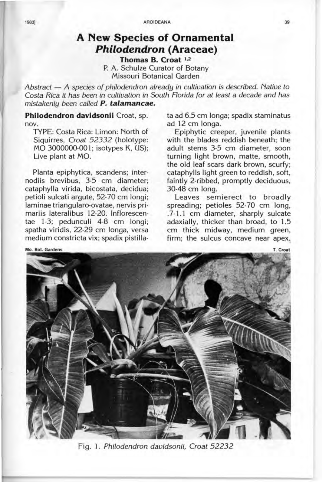## **A New Species of Ornamental Philodendron (Araceae) Thomas B. Croat** 1.2

p. A. Schulze Curator of Botany Missouri Botanical Garden

Abstract - A species of philodendron already in cultivation is described. Native to Costa Rica *it* has been in cultivation in South Florida for at least a decade and has mistakenly been called *P. talamancae.* 

**Philodendron davidsonii** Croat, sp. nov.

TYPE: Costa Rica: Limon: North of Siquirres, Croat 52332 (holotype: MO 3000000-001; isotypes K, US); Live plant at MO.

Planta epiphytica, scandens; internodiis brevibus, 3-5 cm diameter; cataphylla virida, bicostata, decidua; petioli sulcati argute, 52-70 cm longi; laminae triangularo-ovatae, nervis primariis lateralibus 12-20. Infforescentae 1-3; pedunculi 4-8 cm longi; spatha viridis, 22-29 cm longa, versa medium constricta vix; spadix pistillata ad 6.5 cm longa; spadix staminatus ad 12 cm longa.

Epiphytic creeper, juvenile plants with the blades reddish beneath; the adult stems 3-5 cm diameter, soon turning light brown, matte, smooth, the old leaf scars dark brown, scurfy; cataphylls light green to reddish, soft, faintly 2-ribbed, promptly deciduous, 30-48 cm long.

Leaves semierect to broadly spreading; petioles 52-70 cm long, .7-1.1 cm diameter, sharply sulcate adaxially, thicker than broad, to 1.5 cm thick midway, medium green, firm; the sulcus concave near apex,

Mo. Bot. Gardens

Fig. 1. Philodendron davidsonii, Croat 52232



T. Croat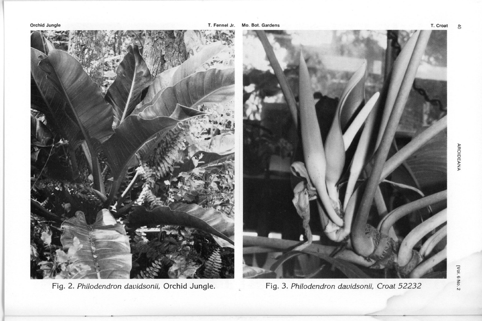